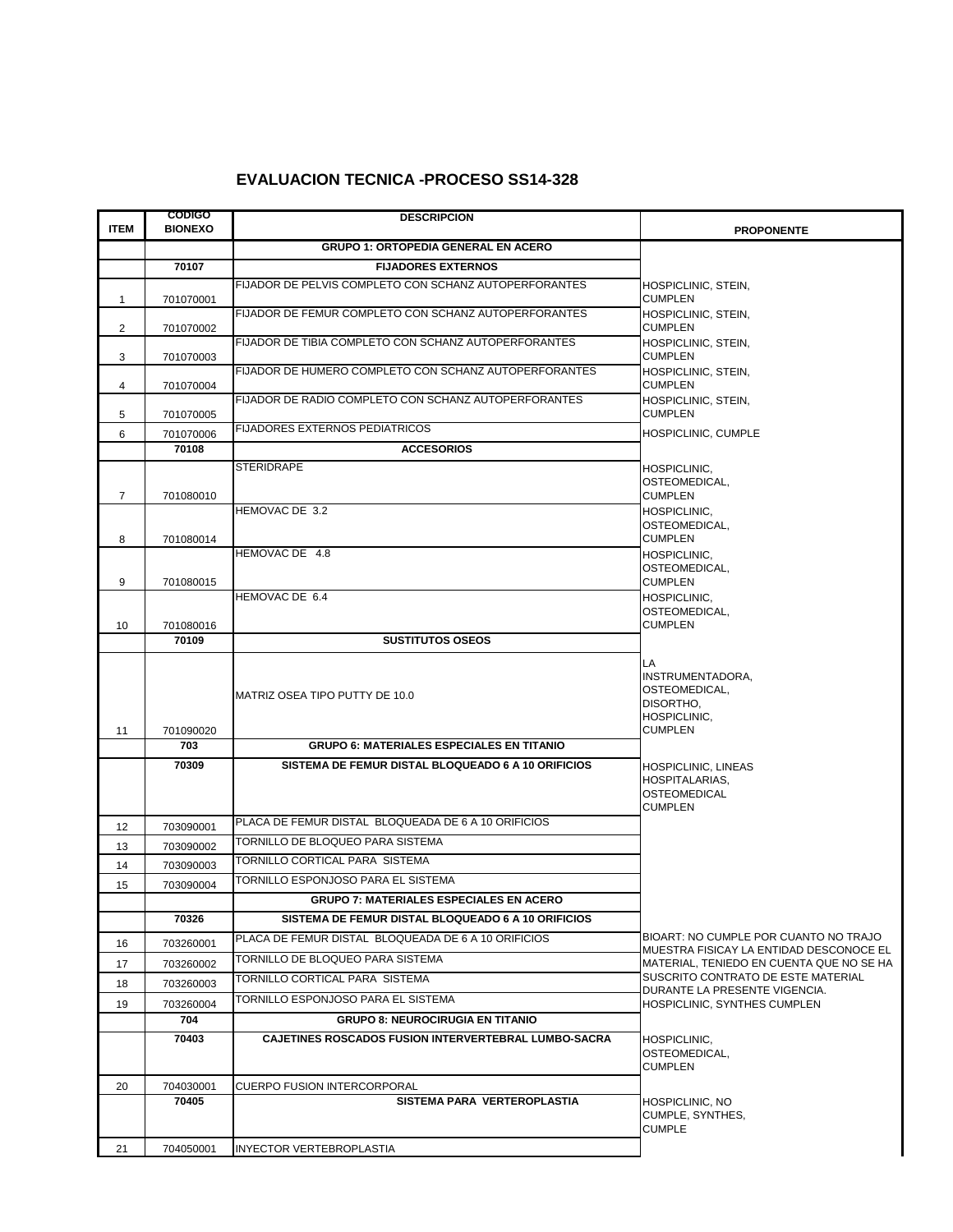## **EVALUACION TECNICA -PROCESO SS14-328**

| <b>ITEM</b>    | <b>CODIGO</b><br><b>BIONEXO</b> | <b>DESCRIPCION</b>                                          |                                                                                     |
|----------------|---------------------------------|-------------------------------------------------------------|-------------------------------------------------------------------------------------|
|                |                                 | <b>GRUPO 1: ORTOPEDIA GENERAL EN ACERO</b>                  | <b>PROPONENTE</b>                                                                   |
|                | 70107                           | <b>FIJADORES EXTERNOS</b>                                   |                                                                                     |
|                |                                 | FIJADOR DE PELVIS COMPLETO CON SCHANZ AUTOPERFORANTES       |                                                                                     |
| 1              | 701070001                       |                                                             | HOSPICLINIC, STEIN,<br><b>CUMPLEN</b>                                               |
|                |                                 | FIJADOR DE FEMUR COMPLETO CON SCHANZ AUTOPERFORANTES        | HOSPICLINIC, STEIN,                                                                 |
| 2              | 701070002                       | FIJADOR DE TIBIA COMPLETO CON SCHANZ AUTOPERFORANTES        | <b>CUMPLEN</b>                                                                      |
| 3              | 701070003                       |                                                             | HOSPICLINIC, STEIN,<br><b>CUMPLEN</b>                                               |
|                |                                 | FIJADOR DE HUMERO COMPLETO CON SCHANZ AUTOPERFORANTES       | HOSPICLINIC, STEIN,                                                                 |
| 4              | 701070004                       | FIJADOR DE RADIO COMPLETO CON SCHANZ AUTOPERFORANTES        | <b>CUMPLEN</b><br>HOSPICLINIC, STEIN,                                               |
| 5              | 701070005                       |                                                             | <b>CUMPLEN</b>                                                                      |
| 6              | 701070006                       | <b>FIJADORES EXTERNOS PEDIATRICOS</b>                       | HOSPICLINIC, CUMPLE                                                                 |
|                | 70108                           | <b>ACCESORIOS</b>                                           |                                                                                     |
|                |                                 | <b>STERIDRAPE</b>                                           | HOSPICLINIC,                                                                        |
| $\overline{7}$ | 701080010                       |                                                             | OSTEOMEDICAL,<br><b>CUMPLEN</b>                                                     |
|                |                                 | HEMOVAC DE 3.2                                              | <b>HOSPICLINIC,</b>                                                                 |
|                |                                 |                                                             | OSTEOMEDICAL,                                                                       |
| 8              | 701080014                       | HEMOVAC DE 4.8                                              | <b>CUMPLEN</b><br>HOSPICLINIC,                                                      |
|                |                                 |                                                             | OSTEOMEDICAL,                                                                       |
| 9              | 701080015                       |                                                             | <b>CUMPLEN</b>                                                                      |
|                |                                 | HEMOVAC DE 6.4                                              | HOSPICLINIC,<br>OSTEOMEDICAL,                                                       |
| 10             | 701080016                       |                                                             | <b>CUMPLEN</b>                                                                      |
|                | 70109                           | <b>SUSTITUTOS OSEOS</b>                                     |                                                                                     |
|                |                                 |                                                             | LA.                                                                                 |
|                |                                 |                                                             | INSTRUMENTADORA,<br>OSTEOMEDICAL,                                                   |
|                |                                 | MATRIZ OSEA TIPO PUTTY DE 10.0                              | DISORTHO,                                                                           |
|                |                                 |                                                             | HOSPICLINIC,                                                                        |
| 11             | 701090020<br>703                | <b>GRUPO 6: MATERIALES ESPECIALES EN TITANIO</b>            | <b>CUMPLEN</b>                                                                      |
|                | 70309                           | SISTEMA DE FEMUR DISTAL BLOQUEADO 6 A 10 ORIFICIOS          | HOSPICLINIC, LINEAS                                                                 |
|                |                                 |                                                             | HOSPITALARIAS,                                                                      |
|                |                                 |                                                             | <b>OSTEOMEDICAL</b><br><b>CUMPLEN</b>                                               |
| 12             | 703090001                       | PLACA DE FEMUR DISTAL BLOQUEADA DE 6 A 10 ORIFICIOS         |                                                                                     |
| 13             | 703090002                       | TORNILLO DE BLOQUEO PARA SISTEMA                            |                                                                                     |
| 14             | 703090003                       | TORNILLO CORTICAL PARA SISTEMA                              |                                                                                     |
| 15             | 703090004                       | TORNILLO ESPONJOSO PARA EL SISTEMA                          |                                                                                     |
|                |                                 | <b>GRUPO 7: MATERIALES ESPECIALES EN ACERO</b>              |                                                                                     |
|                | 70326                           | SISTEMA DE FEMUR DISTAL BLOQUEADO 6 A 10 ORIFICIOS          |                                                                                     |
| 16             | 703260001                       | PLACA DE FEMUR DISTAL BLOQUEADA DE 6 A 10 ORIFICIOS         | BIOART: NO CUMPLE POR CUANTO NO TRAJO                                               |
| 17             | 703260002                       | TORNILLO DE BLOQUEO PARA SISTEMA                            | MUESTRA FISICAY LA ENTIDAD DESCONOCE EL<br>MATERIAL, TENIEDO EN CUENTA QUE NO SE HA |
| 18             | 703260003                       | TORNILLO CORTICAL PARA SISTEMA                              | SUSCRITO CONTRATO DE ESTE MATERIAL                                                  |
|                | 703260004                       | TORNILLO ESPONJOSO PARA EL SISTEMA                          | DURANTE LA PRESENTE VIGENCIA.<br>HOSPICLINIC, SYNTHES CUMPLEN                       |
| 19             | 704                             | <b>GRUPO 8: NEUROCIRUGIA EN TITANIO</b>                     |                                                                                     |
|                | 70403                           | <b>CAJETINES ROSCADOS FUSION INTERVERTEBRAL LUMBO-SACRA</b> | HOSPICLINIC,                                                                        |
|                |                                 |                                                             | OSTEOMEDICAL.                                                                       |
|                |                                 |                                                             | <b>CUMPLEN</b>                                                                      |
| 20             | 704030001                       | <b>CUERPO FUSION INTERCORPORAL</b>                          |                                                                                     |
|                | 70405                           | SISTEMA PARA VERTEROPLASTIA                                 | HOSPICLINIC, NO<br>CUMPLE, SYNTHES,                                                 |
|                |                                 |                                                             | <b>CUMPLE</b>                                                                       |
| 21             | 704050001                       | INYECTOR VERTEBROPLASTIA                                    |                                                                                     |